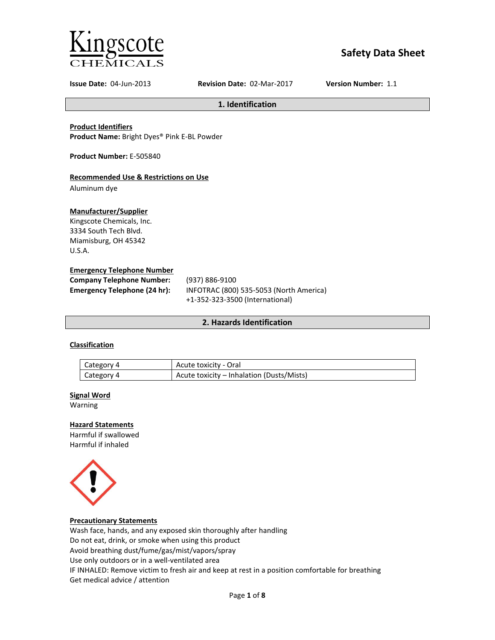

# **Safety Data Sheet**

**Issue Date:** 04-Jun-2013 **Revision Date:** 02-Mar-2017 **Version Number:** 1.1

**1. Identification**

**Product Identifiers**

**Product Name:** Bright Dyes® Pink E-BL Powder

**Product Number:** E-505840

# **Recommended Use & Restrictions on Use**

Aluminum dye

### **Manufacturer/Supplier**

Kingscote Chemicals, Inc. 3334 South Tech Blvd. Miamisburg, OH 45342 U.S.A.

### **Emergency Telephone Number**

| <b>Company Telephone Number:</b> | (937) 886-9100                          |
|----------------------------------|-----------------------------------------|
| Emergency Telephone (24 hr):     | INFOTRAC (800) 535-5053 (North America) |
|                                  | +1-352-323-3500 (International)         |

# **2. Hazards Identification**

# **Classification**

| Category 4 | Acute toxicity - Oral                     |
|------------|-------------------------------------------|
| Category 4 | Acute toxicity – Inhalation (Dusts/Mists) |

### **Signal Word**

Warning

# **Hazard Statements**

Harmful if swallowed Harmful if inhaled



### **Precautionary Statements**

Wash face, hands, and any exposed skin thoroughly after handling Do not eat, drink, or smoke when using this product Avoid breathing dust/fume/gas/mist/vapors/spray Use only outdoors or in a well-ventilated area IF INHALED: Remove victim to fresh air and keep at rest in a position comfortable for breathing Get medical advice / attention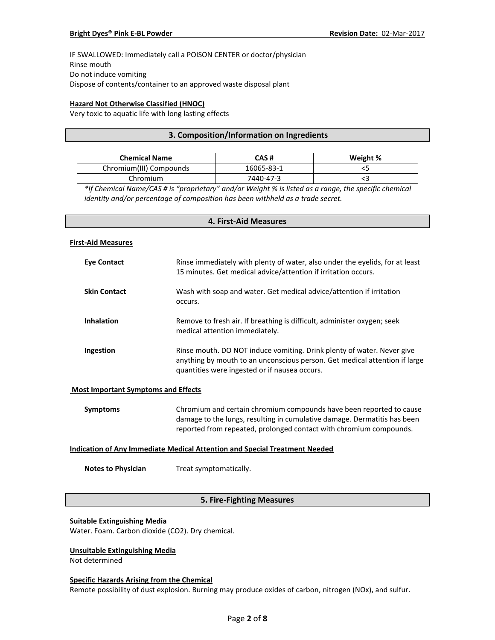IF SWALLOWED: Immediately call a POISON CENTER or doctor/physician Rinse mouth Do not induce vomiting Dispose of contents/container to an approved waste disposal plant

## **Hazard Not Otherwise Classified (HNOC)**

Very toxic to aquatic life with long lasting effects

## **3. Composition/Information on Ingredients**

| <b>Chemical Name</b>    | CAS #      | Weight % |
|-------------------------|------------|----------|
| Chromium(III) Compounds | 16065-83-1 |          |
| Chromium                | 7440-47-3  |          |

*\*If Chemical Name/CAS # is "proprietary" and/or Weight % is listed as a range, the specific chemical identity and/or percentage of composition has been withheld as a trade secret.*

# **4. First-Aid Measures**

#### **First-Aid Measures**

| Eye Contact         | Rinse immediately with plenty of water, also under the eyelids, for at least<br>15 minutes. Get medical advice/attention if irritation occurs.                                                        |
|---------------------|-------------------------------------------------------------------------------------------------------------------------------------------------------------------------------------------------------|
| <b>Skin Contact</b> | Wash with soap and water. Get medical advice/attention if irritation<br>occurs.                                                                                                                       |
| <b>Inhalation</b>   | Remove to fresh air. If breathing is difficult, administer oxygen; seek<br>medical attention immediately.                                                                                             |
| Ingestion           | Rinse mouth. DO NOT induce vomiting. Drink plenty of water. Never give<br>anything by mouth to an unconscious person. Get medical attention if large<br>quantities were ingested or if nausea occurs. |

### **Most Important Symptoms and Effects**

| Symptoms | Chromium and certain chromium compounds have been reported to cause      |
|----------|--------------------------------------------------------------------------|
|          | damage to the lungs, resulting in cumulative damage. Dermatitis has been |
|          | reported from repeated, prolonged contact with chromium compounds.       |

### **Indication of Any Immediate Medical Attention and Special Treatment Needed**

**Notes to Physician** Treat symptomatically.

# **5. Fire-Fighting Measures**

### **Suitable Extinguishing Media**

Water. Foam. Carbon dioxide (CO2). Dry chemical.

## **Unsuitable Extinguishing Media**

Not determined

#### **Specific Hazards Arising from the Chemical**

Remote possibility of dust explosion. Burning may produce oxides of carbon, nitrogen (NOx), and sulfur.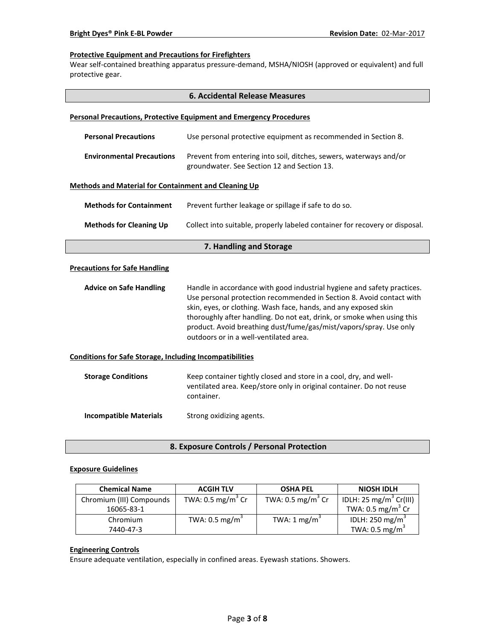### **Protective Equipment and Precautions for Firefighters**

Wear self-contained breathing apparatus pressure-demand, MSHA/NIOSH (approved or equivalent) and full protective gear.

|                                                                 | <b>6. Accidental Release Measures</b>                                                                                                                                                                                                                                                                                                                                                                        |  |  |
|-----------------------------------------------------------------|--------------------------------------------------------------------------------------------------------------------------------------------------------------------------------------------------------------------------------------------------------------------------------------------------------------------------------------------------------------------------------------------------------------|--|--|
|                                                                 | <b>Personal Precautions, Protective Equipment and Emergency Procedures</b>                                                                                                                                                                                                                                                                                                                                   |  |  |
| <b>Personal Precautions</b>                                     | Use personal protective equipment as recommended in Section 8.                                                                                                                                                                                                                                                                                                                                               |  |  |
| <b>Environmental Precautions</b>                                | Prevent from entering into soil, ditches, sewers, waterways and/or<br>groundwater. See Section 12 and Section 13.                                                                                                                                                                                                                                                                                            |  |  |
| <b>Methods and Material for Containment and Cleaning Up</b>     |                                                                                                                                                                                                                                                                                                                                                                                                              |  |  |
| <b>Methods for Containment</b>                                  | Prevent further leakage or spillage if safe to do so.                                                                                                                                                                                                                                                                                                                                                        |  |  |
| <b>Methods for Cleaning Up</b>                                  | Collect into suitable, properly labeled container for recovery or disposal.                                                                                                                                                                                                                                                                                                                                  |  |  |
| 7. Handling and Storage                                         |                                                                                                                                                                                                                                                                                                                                                                                                              |  |  |
| <b>Precautions for Safe Handling</b>                            |                                                                                                                                                                                                                                                                                                                                                                                                              |  |  |
| <b>Advice on Safe Handling</b>                                  | Handle in accordance with good industrial hygiene and safety practices.<br>Use personal protection recommended in Section 8. Avoid contact with<br>skin, eyes, or clothing. Wash face, hands, and any exposed skin<br>thoroughly after handling. Do not eat, drink, or smoke when using this<br>product. Avoid breathing dust/fume/gas/mist/vapors/spray. Use only<br>outdoors or in a well-ventilated area. |  |  |
| <b>Conditions for Safe Storage, Including Incompatibilities</b> |                                                                                                                                                                                                                                                                                                                                                                                                              |  |  |
| <b>Storage Conditions</b>                                       | Keep container tightly closed and store in a cool, dry, and well-<br>ventilated area. Keep/store only in original container. Do not reuse<br>container.                                                                                                                                                                                                                                                      |  |  |
| <b>Incompatible Materials</b>                                   | Strong oxidizing agents.                                                                                                                                                                                                                                                                                                                                                                                     |  |  |

**8. Exposure Controls / Personal Protection**

### **Exposure Guidelines**

| <b>Chemical Name</b>     | <b>ACGIH TLV</b>             | <b>OSHA PEL</b>              | <b>NIOSH IDLH</b>                  |
|--------------------------|------------------------------|------------------------------|------------------------------------|
| Chromium (III) Compounds | TWA: $0.5 \text{ mg/m}^3$ Cr | TWA: $0.5 \text{ mg/m}^3$ Cr | IDLH: 25 mg/m <sup>3</sup> Cr(III) |
| 16065-83-1               |                              |                              | TWA: $0.5 \text{ mg/m}^3$ Cr       |
| Chromium                 | TWA: $0.5 \text{ mg/m}^3$    | TWA: $1 \text{ mg/m}^3$      | IDLH: 250 mg/m <sup>3</sup>        |
| 7440-47-3                |                              |                              | TWA: $0.5 \text{ mg/m}^3$          |

# **Engineering Controls**

Ensure adequate ventilation, especially in confined areas. Eyewash stations. Showers.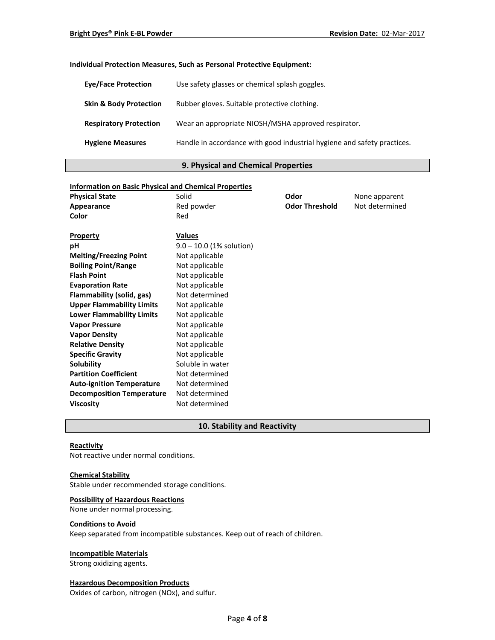### **Individual Protection Measures, Such as Personal Protective Equipment:**

| <b>Eve/Face Protection</b>        | Use safety glasses or chemical splash goggles.                          |
|-----------------------------------|-------------------------------------------------------------------------|
| <b>Skin &amp; Body Protection</b> | Rubber gloves. Suitable protective clothing.                            |
| <b>Respiratory Protection</b>     | Wear an appropriate NIOSH/MSHA approved respirator.                     |
| <b>Hygiene Measures</b>           | Handle in accordance with good industrial hygiene and safety practices. |

### **9. Physical and Chemical Properties**

# **Information on Basic Physical and Chemical Properties Physical State Collection Solid Collection Solid Collection Collection Collection Physical State Collection Odor Collection None apparent Appearance Red powder <b>Constructed Odor Threshold** Not determined **Color** Red **Property Values pH** 9.0 – 10.0 (1% solution) **Melting/Freezing Point** Not applicable **Boiling Point/Range** Not applicable **Flash Point** Not applicable **Evaporation Rate Not applicable Flammability (solid, gas)** Not determined **Upper Flammability Limits** Not applicable **Lower Flammability Limits** Not applicable **Vapor Pressure** Not applicable **Vapor Density** Not applicable **Relative Density Not applicable Specific Gravity** Not applicable **Solubility** Soluble in water **Partition Coefficient** Not determined Auto-ignition Temperature Not determined **Decomposition Temperature** Not determined **Viscosity** Not determined

# **10. Stability and Reactivity**

### **Reactivity**

Not reactive under normal conditions.

### **Chemical Stability**

Stable under recommended storage conditions.

#### **Possibility of Hazardous Reactions**

None under normal processing.

#### **Conditions to Avoid**

Keep separated from incompatible substances. Keep out of reach of children.

#### **Incompatible Materials**

Strong oxidizing agents.

### **Hazardous Decomposition Products**

Oxides of carbon, nitrogen (NOx), and sulfur.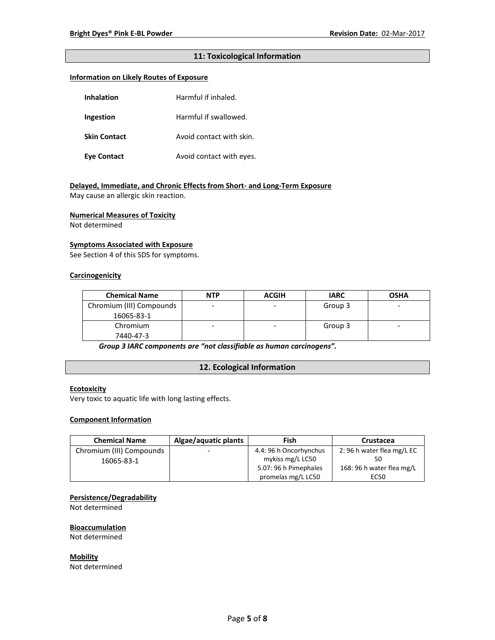# **11: Toxicological Information**

### **Information on Likely Routes of Exposure**

| Inhalation          | Harmful if inhaled.      |
|---------------------|--------------------------|
| Ingestion           | Harmful if swallowed.    |
| <b>Skin Contact</b> | Avoid contact with skin. |
| <b>Eye Contact</b>  | Avoid contact with eyes. |

# **Delayed, Immediate, and Chronic Effects from Short- and Long-Term Exposure**

May cause an allergic skin reaction.

#### **Numerical Measures of Toxicity**

Not determined

### **Symptoms Associated with Exposure**

See Section 4 of this SDS for symptoms.

# **Carcinogenicity**

| <b>Chemical Name</b>     | <b>NTP</b> | <b>ACGIH</b> | <b>IARC</b> | <b>OSHA</b> |
|--------------------------|------------|--------------|-------------|-------------|
| Chromium (III) Compounds |            |              | Group 3     | -           |
| 16065-83-1               |            |              |             |             |
| Chromium                 |            | ۰            | Group 3     | -           |
| 7440-47-3                |            |              |             |             |

*Group 3 IARC components are "not classifiable as human carcinogens".*

# **12. Ecological Information**

### **Ecotoxicity**

Very toxic to aquatic life with long lasting effects.

### **Component Information**

| <b>Chemical Name</b>     | Algae/aquatic plants     | Fish                   | Crustacea                 |
|--------------------------|--------------------------|------------------------|---------------------------|
| Chromium (III) Compounds | $\overline{\phantom{0}}$ | 4.4: 96 h Oncorhynchus | 2:96 h water flea mg/L EC |
| 16065-83-1               |                          | mykiss mg/L LC50       |                           |
|                          |                          | 5.07: 96 h Pimephales  | 168: 96 h water flea mg/L |
|                          |                          | promelas mg/L LC50     | EC50                      |

### **Persistence/Degradability**

Not determined

#### **Bioaccumulation**

Not determined

**Mobility** Not determined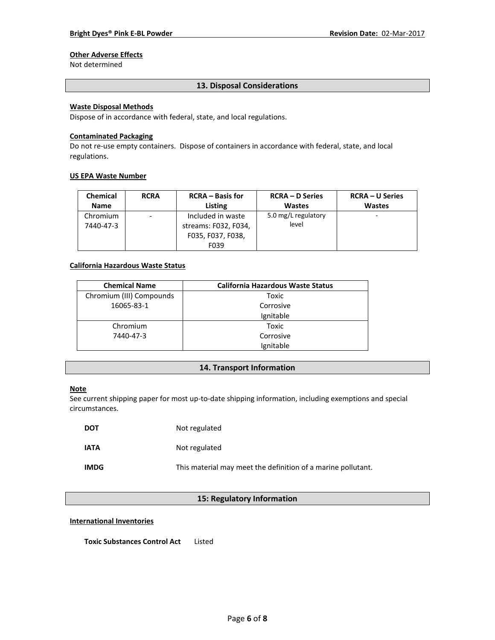# **Other Adverse Effects**

Not determined

### **13. Disposal Considerations**

## **Waste Disposal Methods**

Dispose of in accordance with federal, state, and local regulations.

#### **Contaminated Packaging**

Do not re-use empty containers.Dispose of containers in accordance with federal, state, and local regulations.

#### **US EPA Waste Number**

| <b>Chemical</b>       | <b>RCRA</b> | <b>RCRA</b> – Basis for                                                | <b>RCRA – D Series</b>       | <b>RCRA – U Series</b> |
|-----------------------|-------------|------------------------------------------------------------------------|------------------------------|------------------------|
| <b>Name</b>           |             | Listing                                                                | <b>Wastes</b>                | <b>Wastes</b>          |
| Chromium<br>7440-47-3 | -           | Included in waste<br>streams: F032, F034,<br>F035, F037, F038,<br>F039 | 5.0 mg/L regulatory<br>level |                        |

# **California Hazardous Waste Status**

| <b>Chemical Name</b>     | <b>California Hazardous Waste Status</b> |
|--------------------------|------------------------------------------|
| Chromium (III) Compounds | Toxic                                    |
| 16065-83-1               | Corrosive                                |
|                          | Ignitable                                |
| Chromium                 | Toxic                                    |
| 7440-47-3                | Corrosive                                |
|                          | Ignitable                                |

### **14. Transport Information**

### **Note**

See current shipping paper for most up-to-date shipping information, including exemptions and special circumstances.

| <b>DOT</b>  | Not regulated                                                |
|-------------|--------------------------------------------------------------|
| <b>IATA</b> | Not regulated                                                |
| <b>IMDG</b> | This material may meet the definition of a marine pollutant. |

# **15: Regulatory Information**

#### **International Inventories**

**Toxic Substances Control Act** Listed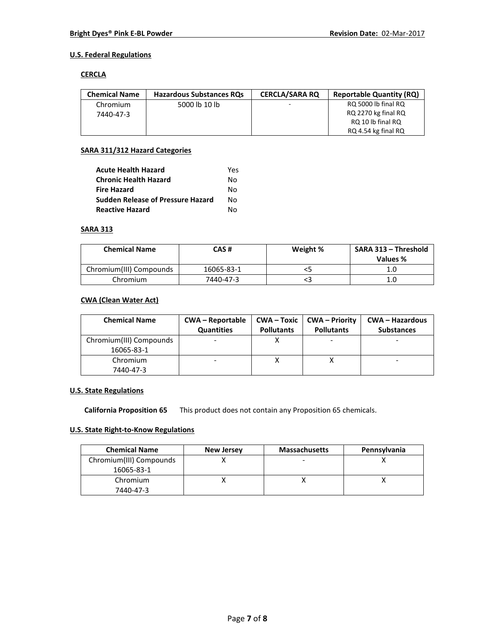# **U.S. Federal Regulations**

### **CERCLA**

| <b>Chemical Name</b> | <b>Hazardous Substances RQs</b> | <b>CERCLA/SARA RO</b> | <b>Reportable Quantity (RQ)</b> |
|----------------------|---------------------------------|-----------------------|---------------------------------|
| Chromium             | 5000 lb 10 lb                   |                       | RQ 5000 lb final RQ             |
| 7440-47-3            |                                 |                       | RQ 2270 kg final RQ             |
|                      |                                 |                       | RQ 10 lb final RQ               |
|                      |                                 |                       | RQ 4.54 kg final RQ             |

### **SARA 311/312 Hazard Categories**

| <b>Acute Health Hazard</b>               | Yes |
|------------------------------------------|-----|
| <b>Chronic Health Hazard</b>             | N٥  |
| <b>Fire Hazard</b>                       | N٥  |
| <b>Sudden Release of Pressure Hazard</b> | N٥  |
| <b>Reactive Hazard</b>                   | N٥  |

### **SARA 313**

| <b>Chemical Name</b>    | CAS #      | Weight % | SARA 313 - Threshold<br>Values % |
|-------------------------|------------|----------|----------------------------------|
| Chromium(III) Compounds | 16065-83-1 |          | 1.C                              |
| Chromium                | 7440-47-3  |          | 1.C                              |

# **CWA (Clean Water Act)**

| <b>Chemical Name</b>    | <b>CWA - Reportable</b><br><b>Quantities</b> | $CWA - Toxic$<br><b>Pollutants</b> | CWA – Priority<br><b>Pollutants</b> | <b>CWA - Hazardous</b><br><b>Substances</b> |
|-------------------------|----------------------------------------------|------------------------------------|-------------------------------------|---------------------------------------------|
| Chromium(III) Compounds |                                              |                                    |                                     |                                             |
| 16065-83-1              |                                              |                                    |                                     |                                             |
| Chromium                |                                              |                                    |                                     |                                             |
| 7440-47-3               |                                              |                                    |                                     |                                             |

# **U.S. State Regulations**

**California Proposition 65** This product does not contain any Proposition 65 chemicals.

# **U.S. State Right-to-Know Regulations**

| <b>Chemical Name</b>    | <b>New Jersey</b> | <b>Massachusetts</b> | Pennsylvania |
|-------------------------|-------------------|----------------------|--------------|
| Chromium(III) Compounds |                   |                      |              |
| 16065-83-1              |                   |                      |              |
| Chromium                |                   |                      |              |
| 7440-47-3               |                   |                      |              |